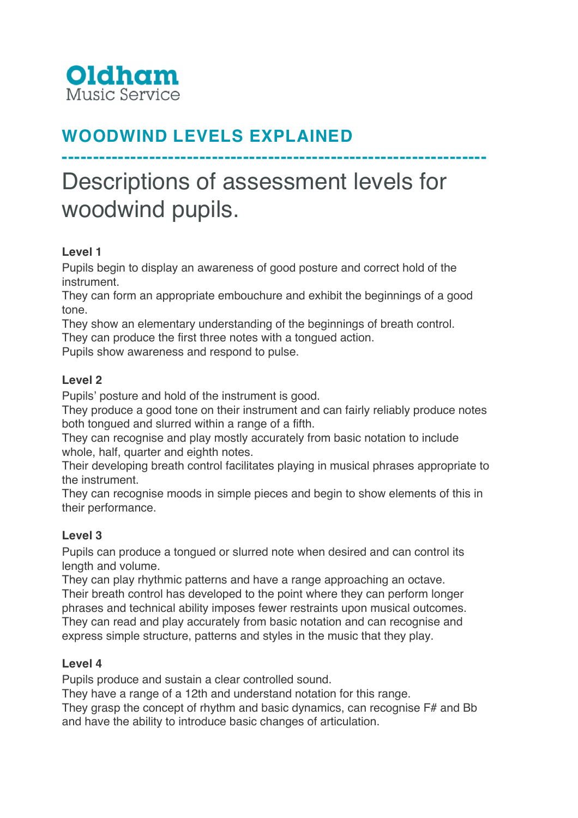

# **WOODWIND LEVELS EXPLAINED**

# Descriptions of assessment levels for woodwind pupils.

**--------------------------------------------------------------------**

## **Level 1**

Pupils begin to display an awareness of good posture and correct hold of the instrument.

They can form an appropriate embouchure and exhibit the beginnings of a good tone.

They show an elementary understanding of the beginnings of breath control.

They can produce the first three notes with a tongued action.

Pupils show awareness and respond to pulse.

#### **Level 2**

Pupils' posture and hold of the instrument is good.

They produce a good tone on their instrument and can fairly reliably produce notes both tongued and slurred within a range of a fifth.

They can recognise and play mostly accurately from basic notation to include whole, half, quarter and eighth notes.

Their developing breath control facilitates playing in musical phrases appropriate to the instrument.

They can recognise moods in simple pieces and begin to show elements of this in their performance.

#### **Level 3**

Pupils can produce a tongued or slurred note when desired and can control its length and volume.

They can play rhythmic patterns and have a range approaching an octave. Their breath control has developed to the point where they can perform longer phrases and technical ability imposes fewer restraints upon musical outcomes. They can read and play accurately from basic notation and can recognise and express simple structure, patterns and styles in the music that they play.

#### **Level 4**

Pupils produce and sustain a clear controlled sound.

They have a range of a 12th and understand notation for this range.

They grasp the concept of rhythm and basic dynamics, can recognise F# and Bb and have the ability to introduce basic changes of articulation.